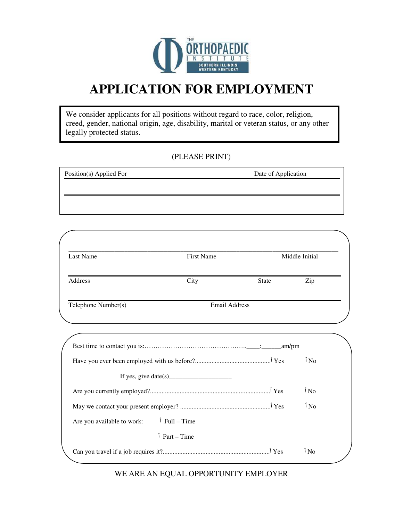

## **APPLICATION FOR EMPLOYMENT**

We consider applicants for all positions without regard to race, color, religion, creed, gender, national origin, age, disability, marital or veteran status, or any other legally protected status.

#### (PLEASE PRINT)

| Position(s) Applied For | Date of Application |  |
|-------------------------|---------------------|--|
|                         |                     |  |
|                         |                     |  |
|                         |                     |  |

| Last Name | First Name |              | Middle Initial |
|-----------|------------|--------------|----------------|
| Address   | City       | <b>State</b> | Zip            |

|                                                      | $\delta$ No     |  |
|------------------------------------------------------|-----------------|--|
|                                                      |                 |  |
|                                                      | $\mathbf{N}_0$  |  |
|                                                      | 1N <sub>0</sub> |  |
| $\uparrow$ Full – Time<br>Are you available to work: |                 |  |
| $\bar{P}$ Part – Time                                |                 |  |
|                                                      | $\sqrt{N_0}$    |  |

WE ARE AN EQUAL OPPORTUNITY EMPLOYER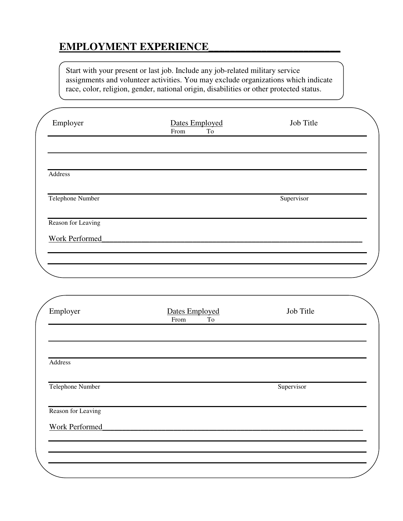#### **EMPLOYMENT EXPERIENCE\_\_\_\_\_\_\_\_\_\_\_\_\_\_\_\_\_\_\_\_\_\_\_\_\_**

Start with your present or last job. Include any job-related military service assignments and volunteer activities. You may exclude organizations which indicate race, color, religion, gender, national origin, disabilities or other protected status.

| Employer           | Dates Employed<br>$\operatorname{To}$<br>From | Job Title  |  |
|--------------------|-----------------------------------------------|------------|--|
|                    |                                               |            |  |
| Address            |                                               |            |  |
| Telephone Number   |                                               | Supervisor |  |
| Reason for Leaving |                                               |            |  |
| Work Performed     |                                               |            |  |
|                    |                                               |            |  |

| Employer           | Dates Employed<br>$\operatorname{To}$<br>From | Job Title  |  |
|--------------------|-----------------------------------------------|------------|--|
|                    |                                               |            |  |
| Address            |                                               |            |  |
| Telephone Number   |                                               | Supervisor |  |
| Reason for Leaving |                                               |            |  |
| Work Performed     |                                               |            |  |
|                    |                                               |            |  |
|                    |                                               |            |  |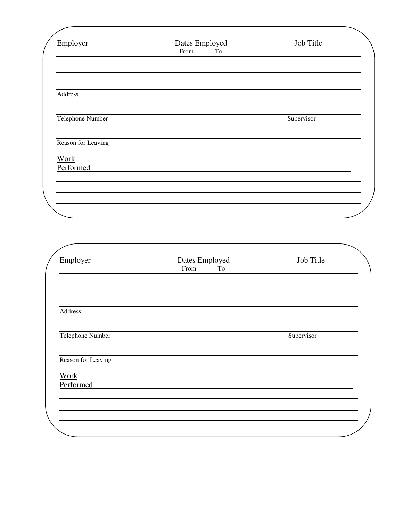| Employer                 | Dates Employed<br>From<br>To | Job Title  |
|--------------------------|------------------------------|------------|
|                          |                              |            |
| Address                  |                              |            |
| Telephone Number         |                              | Supervisor |
| Reason for Leaving       |                              |            |
| <b>Work</b><br>Performed |                              |            |
|                          |                              |            |
|                          |                              |            |

| Employer                 | <b>Dates Employed</b><br>From<br>To | Job Title  |
|--------------------------|-------------------------------------|------------|
|                          |                                     |            |
| Address                  |                                     |            |
| Telephone Number         |                                     | Supervisor |
| Reason for Leaving       |                                     |            |
| <b>Work</b><br>Performed |                                     |            |
|                          |                                     |            |
|                          |                                     |            |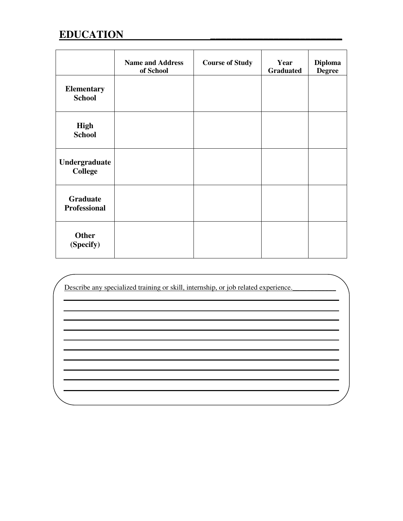### **EDUCATION**

|                                    | <b>Name and Address</b><br>of School | <b>Course of Study</b> | Year<br><b>Graduated</b> | <b>Diploma</b><br><b>Degree</b> |
|------------------------------------|--------------------------------------|------------------------|--------------------------|---------------------------------|
| <b>Elementary</b><br><b>School</b> |                                      |                        |                          |                                 |
| <b>High</b><br><b>School</b>       |                                      |                        |                          |                                 |
| Undergraduate<br><b>College</b>    |                                      |                        |                          |                                 |
| Graduate<br><b>Professional</b>    |                                      |                        |                          |                                 |
| <b>Other</b><br>(Specify)          |                                      |                        |                          |                                 |

Describe any specialized training or skill, internship, or job related experience.